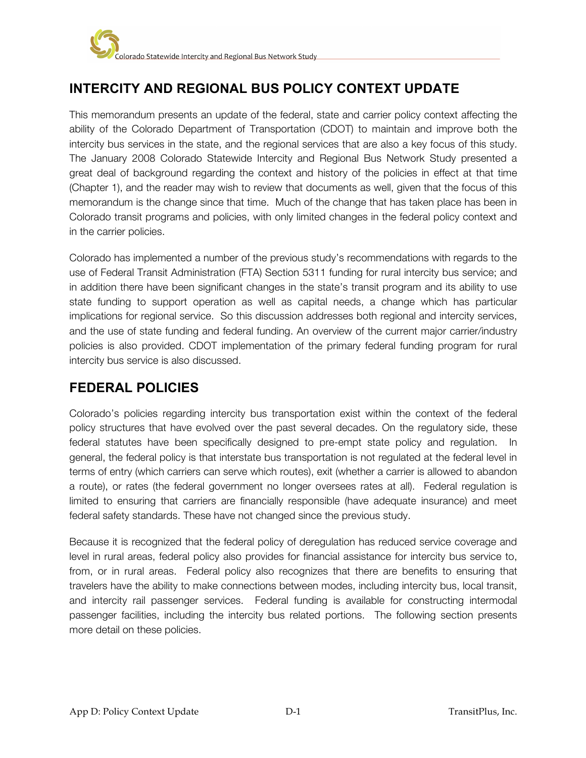

# **INTERCITY AND REGIONAL BUS POLICY CONTEXT UPDATE**

This memorandum presents an update of the federal, state and carrier policy context affecting the ability of the Colorado Department of Transportation (CDOT) to maintain and improve both the intercity bus services in the state, and the regional services that are also a key focus of this study. The January 2008 Colorado Statewide Intercity and Regional Bus Network Study presented a great deal of background regarding the context and history of the policies in effect at that time (Chapter 1), and the reader may wish to review that documents as well, given that the focus of this memorandum is the change since that time. Much of the change that has taken place has been in Colorado transit programs and policies, with only limited changes in the federal policy context and in the carrier policies.

Colorado has implemented a number of the previous study's recommendations with regards to the use of Federal Transit Administration (FTA) Section 5311 funding for rural intercity bus service; and in addition there have been significant changes in the state's transit program and its ability to use state funding to support operation as well as capital needs, a change which has particular implications for regional service. So this discussion addresses both regional and intercity services, and the use of state funding and federal funding. An overview of the current major carrier/industry policies is also provided. CDOT implementation of the primary federal funding program for rural intercity bus service is also discussed.

## **FEDERAL POLICIES**

Colorado's policies regarding intercity bus transportation exist within the context of the federal policy structures that have evolved over the past several decades. On the regulatory side, these federal statutes have been specifically designed to pre-empt state policy and regulation. In general, the federal policy is that interstate bus transportation is not regulated at the federal level in terms of entry (which carriers can serve which routes), exit (whether a carrier is allowed to abandon a route), or rates (the federal government no longer oversees rates at all). Federal regulation is limited to ensuring that carriers are financially responsible (have adequate insurance) and meet federal safety standards. These have not changed since the previous study.

Because it is recognized that the federal policy of deregulation has reduced service coverage and level in rural areas, federal policy also provides for financial assistance for intercity bus service to, from, or in rural areas. Federal policy also recognizes that there are benefits to ensuring that travelers have the ability to make connections between modes, including intercity bus, local transit, and intercity rail passenger services. Federal funding is available for constructing intermodal passenger facilities, including the intercity bus related portions. The following section presents more detail on these policies.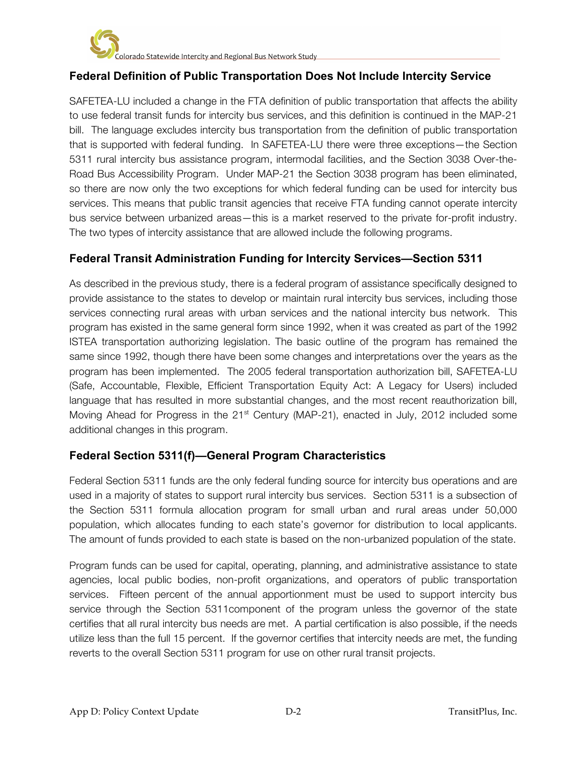## **Federal Definition of Public Transportation Does Not Include Intercity Service**

SAFETEA-LU included a change in the FTA definition of public transportation that affects the ability to use federal transit funds for intercity bus services, and this definition is continued in the MAP-21 bill. The language excludes intercity bus transportation from the definition of public transportation that is supported with federal funding. In SAFETEA-LU there were three exceptions—the Section 5311 rural intercity bus assistance program, intermodal facilities, and the Section 3038 Over-the-Road Bus Accessibility Program. Under MAP-21 the Section 3038 program has been eliminated, so there are now only the two exceptions for which federal funding can be used for intercity bus services. This means that public transit agencies that receive FTA funding cannot operate intercity bus service between urbanized areas—this is a market reserved to the private for-profit industry. The two types of intercity assistance that are allowed include the following programs.

## **Federal Transit Administration Funding for Intercity Services—Section 5311**

As described in the previous study, there is a federal program of assistance specifically designed to provide assistance to the states to develop or maintain rural intercity bus services, including those services connecting rural areas with urban services and the national intercity bus network. This program has existed in the same general form since 1992, when it was created as part of the 1992 ISTEA transportation authorizing legislation. The basic outline of the program has remained the same since 1992, though there have been some changes and interpretations over the years as the program has been implemented. The 2005 federal transportation authorization bill, SAFETEA-LU (Safe, Accountable, Flexible, Efficient Transportation Equity Act: A Legacy for Users) included language that has resulted in more substantial changes, and the most recent reauthorization bill, Moving Ahead for Progress in the 21<sup>st</sup> Century (MAP-21), enacted in July, 2012 included some additional changes in this program.

### **Federal Section 5311(f)—General Program Characteristics**

Federal Section 5311 funds are the only federal funding source for intercity bus operations and are used in a majority of states to support rural intercity bus services. Section 5311 is a subsection of the Section 5311 formula allocation program for small urban and rural areas under 50,000 population, which allocates funding to each state's governor for distribution to local applicants. The amount of funds provided to each state is based on the non-urbanized population of the state.

Program funds can be used for capital, operating, planning, and administrative assistance to state agencies, local public bodies, non-profit organizations, and operators of public transportation services. Fifteen percent of the annual apportionment must be used to support intercity bus service through the Section 5311component of the program unless the governor of the state certifies that all rural intercity bus needs are met. A partial certification is also possible, if the needs utilize less than the full 15 percent. If the governor certifies that intercity needs are met, the funding reverts to the overall Section 5311 program for use on other rural transit projects.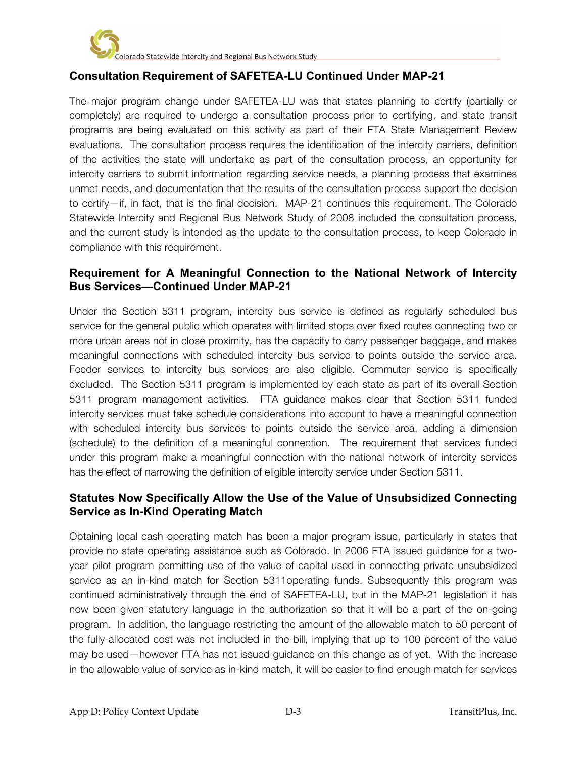

## **Consultation Requirement of SAFETEA-LU Continued Under MAP-21**

The major program change under SAFETEA-LU was that states planning to certify (partially or completely) are required to undergo a consultation process prior to certifying, and state transit programs are being evaluated on this activity as part of their FTA State Management Review evaluations. The consultation process requires the identification of the intercity carriers, definition of the activities the state will undertake as part of the consultation process, an opportunity for intercity carriers to submit information regarding service needs, a planning process that examines unmet needs, and documentation that the results of the consultation process support the decision to certify—if, in fact, that is the final decision. MAP-21 continues this requirement. The Colorado Statewide Intercity and Regional Bus Network Study of 2008 included the consultation process, and the current study is intended as the update to the consultation process, to keep Colorado in compliance with this requirement.

#### **Requirement for A Meaningful Connection to the National Network of Intercity Bus Services—Continued Under MAP-21**

Under the Section 5311 program, intercity bus service is defined as regularly scheduled bus service for the general public which operates with limited stops over fixed routes connecting two or more urban areas not in close proximity, has the capacity to carry passenger baggage, and makes meaningful connections with scheduled intercity bus service to points outside the service area. Feeder services to intercity bus services are also eligible. Commuter service is specifically excluded. The Section 5311 program is implemented by each state as part of its overall Section 5311 program management activities. FTA guidance makes clear that Section 5311 funded intercity services must take schedule considerations into account to have a meaningful connection with scheduled intercity bus services to points outside the service area, adding a dimension (schedule) to the definition of a meaningful connection. The requirement that services funded under this program make a meaningful connection with the national network of intercity services has the effect of narrowing the definition of eligible intercity service under Section 5311.

#### **Statutes Now Specifically Allow the Use of the Value of Unsubsidized Connecting Service as In-Kind Operating Match**

Obtaining local cash operating match has been a major program issue, particularly in states that provide no state operating assistance such as Colorado. In 2006 FTA issued guidance for a twoyear pilot program permitting use of the value of capital used in connecting private unsubsidized service as an in-kind match for Section 5311operating funds. Subsequently this program was continued administratively through the end of SAFETEA-LU, but in the MAP-21 legislation it has now been given statutory language in the authorization so that it will be a part of the on-going program. In addition, the language restricting the amount of the allowable match to 50 percent of the fully-allocated cost was not included in the bill, implying that up to 100 percent of the value may be used—however FTA has not issued guidance on this change as of yet. With the increase in the allowable value of service as in-kind match, it will be easier to find enough match for services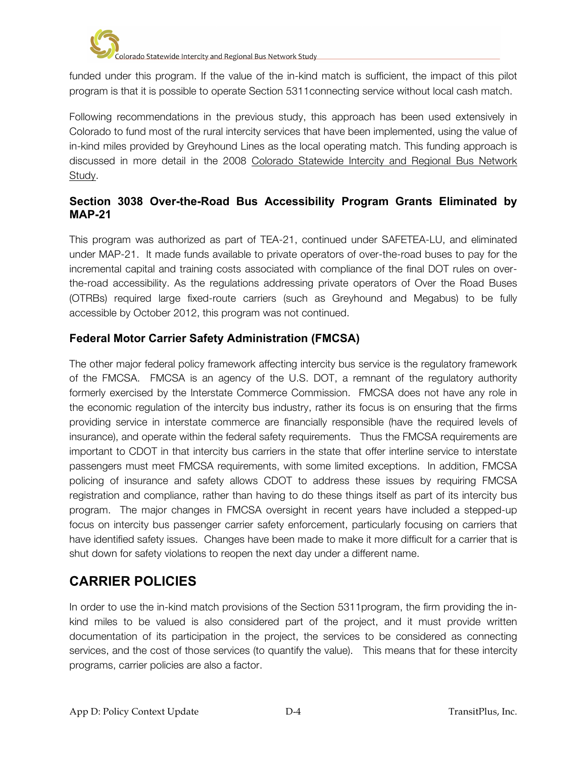

funded under this program. If the value of the in-kind match is sufficient, the impact of this pilot program is that it is possible to operate Section 5311connecting service without local cash match.

Following recommendations in the previous study, this approach has been used extensively in Colorado to fund most of the rural intercity services that have been implemented, using the value of in-kind miles provided by Greyhound Lines as the local operating match. This funding approach is discussed in more detail in the 2008 Colorado Statewide Intercity and Regional Bus Network Study.

## **Section 3038 Over-the-Road Bus Accessibility Program Grants Eliminated by MAP-21**

This program was authorized as part of TEA-21, continued under SAFETEA-LU, and eliminated under MAP-21. It made funds available to private operators of over-the-road buses to pay for the incremental capital and training costs associated with compliance of the final DOT rules on overthe-road accessibility. As the regulations addressing private operators of Over the Road Buses (OTRBs) required large fixed-route carriers (such as Greyhound and Megabus) to be fully accessible by October 2012, this program was not continued.

## **Federal Motor Carrier Safety Administration (FMCSA)**

The other major federal policy framework affecting intercity bus service is the regulatory framework of the FMCSA. FMCSA is an agency of the U.S. DOT, a remnant of the regulatory authority formerly exercised by the Interstate Commerce Commission. FMCSA does not have any role in the economic regulation of the intercity bus industry, rather its focus is on ensuring that the firms providing service in interstate commerce are financially responsible (have the required levels of insurance), and operate within the federal safety requirements. Thus the FMCSA requirements are important to CDOT in that intercity bus carriers in the state that offer interline service to interstate passengers must meet FMCSA requirements, with some limited exceptions. In addition, FMCSA policing of insurance and safety allows CDOT to address these issues by requiring FMCSA registration and compliance, rather than having to do these things itself as part of its intercity bus program. The major changes in FMCSA oversight in recent years have included a stepped-up focus on intercity bus passenger carrier safety enforcement, particularly focusing on carriers that have identified safety issues. Changes have been made to make it more difficult for a carrier that is shut down for safety violations to reopen the next day under a different name.

# **CARRIER POLICIES**

In order to use the in-kind match provisions of the Section 5311program, the firm providing the inkind miles to be valued is also considered part of the project, and it must provide written documentation of its participation in the project, the services to be considered as connecting services, and the cost of those services (to quantify the value). This means that for these intercity programs, carrier policies are also a factor.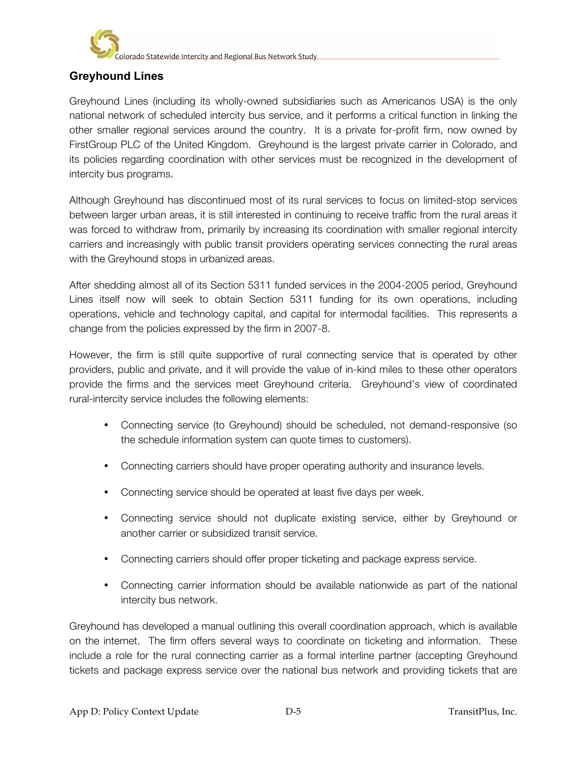

olorado Statewide Intercity and Regional Bus Network Study

## **Greyhound Lines**

Greyhound Lines (including its wholly-owned subsidiaries such as Americanos USA) is the only national network of scheduled intercity bus service, and it performs a critical function in linking the other smaller regional services around the country. It is a private for-profit firm, now owned by FirstGroup PLC of the United Kingdom. Greyhound is the largest private carrier in Colorado, and its policies regarding coordination with other services must be recognized in the development of intercity bus programs.

Although Greyhound has discontinued most of its rural services to focus on limited-stop services between larger urban areas, it is still interested in continuing to receive traffic from the rural areas it was forced to withdraw from, primarily by increasing its coordination with smaller regional intercity carriers and increasingly with public transit providers operating services connecting the rural areas with the Greyhound stops in urbanized areas.

After shedding almost all of its Section 5311 funded services in the 2004-2005 period, Greyhound Lines itself now will seek to obtain Section 5311 funding for its own operations, including operations, vehicle and technology capital, and capital for intermodal facilities. This represents a change from the policies expressed by the firm in 2007-8.

However, the firm is still quite supportive of rural connecting service that is operated by other providers, public and private, and it will provide the value of in-kind miles to these other operators provide the firms and the services meet Greyhound criteria. Greyhound's view of coordinated rural-intercity service includes the following elements:

- Connecting service (to Greyhound) should be scheduled, not demand-responsive (so the schedule information system can quote times to customers).
- Connecting carriers should have proper operating authority and insurance levels.
- Connecting service should be operated at least five days per week.
- Connecting service should not duplicate existing service, either by Greyhound or another carrier or subsidized transit service.
- Connecting carriers should offer proper ticketing and package express service.
- Connecting carrier information should be available nationwide as part of the national intercity bus network.

Greyhound has developed a manual outlining this overall coordination approach, which is available on the internet. The firm offers several ways to coordinate on ticketing and information. These include a role for the rural connecting carrier as a formal interline partner (accepting Greyhound tickets and package express service over the national bus network and providing tickets that are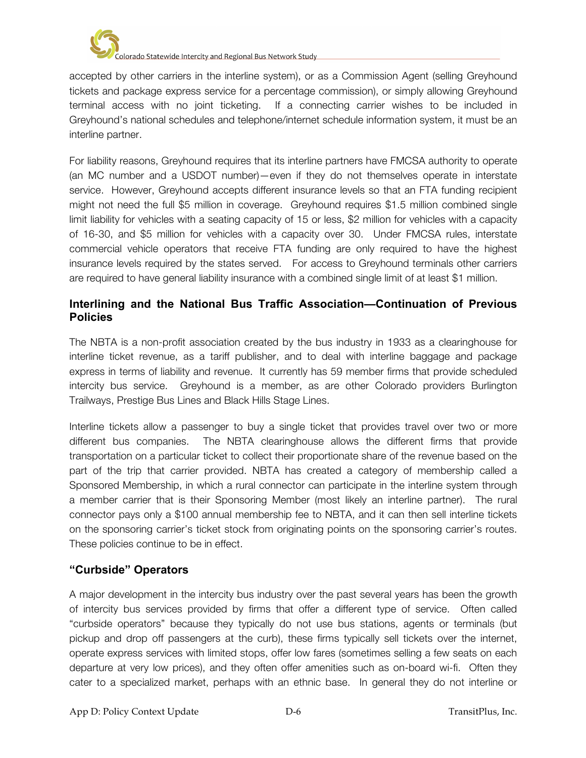

accepted by other carriers in the interline system), or as a Commission Agent (selling Greyhound tickets and package express service for a percentage commission), or simply allowing Greyhound terminal access with no joint ticketing. If a connecting carrier wishes to be included in Greyhound's national schedules and telephone/internet schedule information system, it must be an interline partner.

For liability reasons, Greyhound requires that its interline partners have FMCSA authority to operate (an MC number and a USDOT number)—even if they do not themselves operate in interstate service. However, Greyhound accepts different insurance levels so that an FTA funding recipient might not need the full \$5 million in coverage. Greyhound requires \$1.5 million combined single limit liability for vehicles with a seating capacity of 15 or less, \$2 million for vehicles with a capacity of 16-30, and \$5 million for vehicles with a capacity over 30. Under FMCSA rules, interstate commercial vehicle operators that receive FTA funding are only required to have the highest insurance levels required by the states served. For access to Greyhound terminals other carriers are required to have general liability insurance with a combined single limit of at least \$1 million.

#### **Interlining and the National Bus Traffic Association—Continuation of Previous Policies**

The NBTA is a non-profit association created by the bus industry in 1933 as a clearinghouse for interline ticket revenue, as a tariff publisher, and to deal with interline baggage and package express in terms of liability and revenue. It currently has 59 member firms that provide scheduled intercity bus service. Greyhound is a member, as are other Colorado providers Burlington Trailways, Prestige Bus Lines and Black Hills Stage Lines.

Interline tickets allow a passenger to buy a single ticket that provides travel over two or more different bus companies. The NBTA clearinghouse allows the different firms that provide transportation on a particular ticket to collect their proportionate share of the revenue based on the part of the trip that carrier provided. NBTA has created a category of membership called a Sponsored Membership, in which a rural connector can participate in the interline system through a member carrier that is their Sponsoring Member (most likely an interline partner). The rural connector pays only a \$100 annual membership fee to NBTA, and it can then sell interline tickets on the sponsoring carrier's ticket stock from originating points on the sponsoring carrier's routes. These policies continue to be in effect.

### **"Curbside" Operators**

A major development in the intercity bus industry over the past several years has been the growth of intercity bus services provided by firms that offer a different type of service. Often called "curbside operators" because they typically do not use bus stations, agents or terminals (but pickup and drop off passengers at the curb), these firms typically sell tickets over the internet, operate express services with limited stops, offer low fares (sometimes selling a few seats on each departure at very low prices), and they often offer amenities such as on-board wi-fi. Often they cater to a specialized market, perhaps with an ethnic base. In general they do not interline or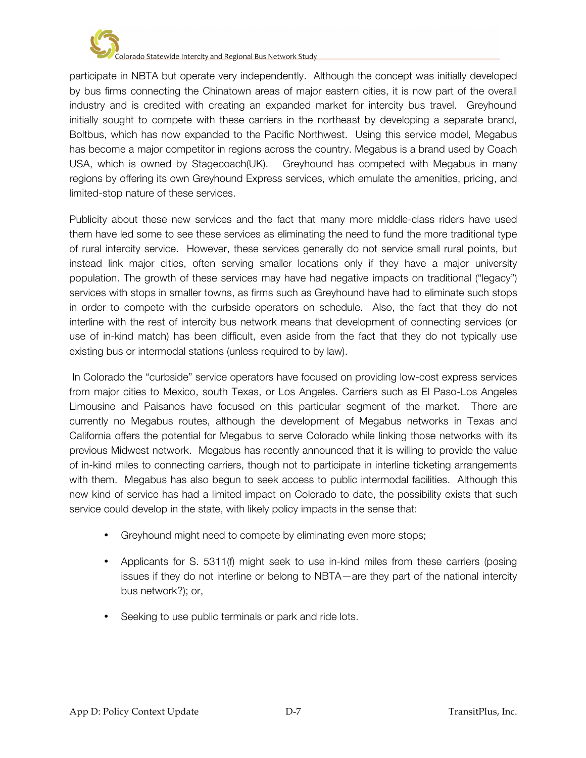

participate in NBTA but operate very independently. Although the concept was initially developed by bus firms connecting the Chinatown areas of major eastern cities, it is now part of the overall industry and is credited with creating an expanded market for intercity bus travel. Greyhound initially sought to compete with these carriers in the northeast by developing a separate brand, Boltbus, which has now expanded to the Pacific Northwest. Using this service model, Megabus has become a major competitor in regions across the country. Megabus is a brand used by Coach USA, which is owned by Stagecoach(UK). Greyhound has competed with Megabus in many regions by offering its own Greyhound Express services, which emulate the amenities, pricing, and limited-stop nature of these services.

Publicity about these new services and the fact that many more middle-class riders have used them have led some to see these services as eliminating the need to fund the more traditional type of rural intercity service. However, these services generally do not service small rural points, but instead link major cities, often serving smaller locations only if they have a major university population. The growth of these services may have had negative impacts on traditional ("legacy") services with stops in smaller towns, as firms such as Greyhound have had to eliminate such stops in order to compete with the curbside operators on schedule. Also, the fact that they do not interline with the rest of intercity bus network means that development of connecting services (or use of in-kind match) has been difficult, even aside from the fact that they do not typically use existing bus or intermodal stations (unless required to by law).

In Colorado the "curbside" service operators have focused on providing low-cost express services from major cities to Mexico, south Texas, or Los Angeles. Carriers such as El Paso-Los Angeles Limousine and Paisanos have focused on this particular segment of the market. There are currently no Megabus routes, although the development of Megabus networks in Texas and California offers the potential for Megabus to serve Colorado while linking those networks with its previous Midwest network. Megabus has recently announced that it is willing to provide the value of in-kind miles to connecting carriers, though not to participate in interline ticketing arrangements with them. Megabus has also begun to seek access to public intermodal facilities. Although this new kind of service has had a limited impact on Colorado to date, the possibility exists that such service could develop in the state, with likely policy impacts in the sense that:

- Greyhound might need to compete by eliminating even more stops;
- Applicants for S. 5311(f) might seek to use in-kind miles from these carriers (posing issues if they do not interline or belong to NBTA—are they part of the national intercity bus network?); or,
- Seeking to use public terminals or park and ride lots.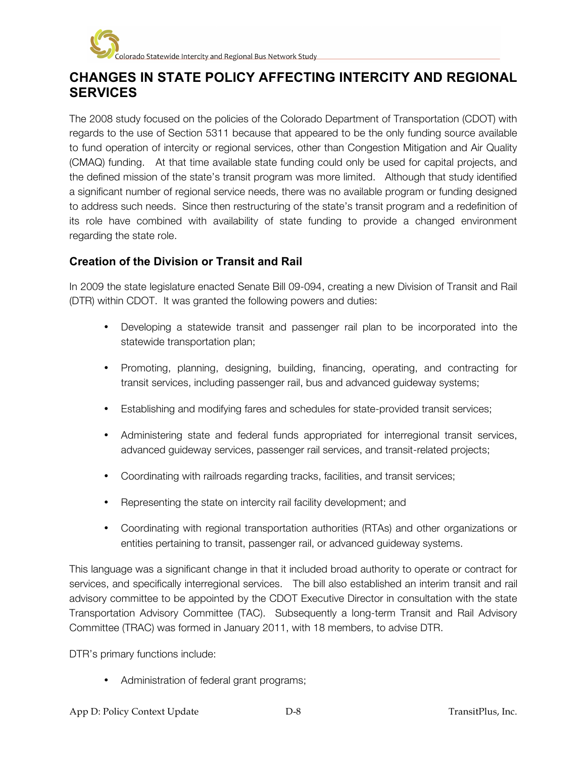

# **CHANGES IN STATE POLICY AFFECTING INTERCITY AND REGIONAL SERVICES**

The 2008 study focused on the policies of the Colorado Department of Transportation (CDOT) with regards to the use of Section 5311 because that appeared to be the only funding source available to fund operation of intercity or regional services, other than Congestion Mitigation and Air Quality (CMAQ) funding. At that time available state funding could only be used for capital projects, and the defined mission of the state's transit program was more limited. Although that study identified a significant number of regional service needs, there was no available program or funding designed to address such needs. Since then restructuring of the state's transit program and a redefinition of its role have combined with availability of state funding to provide a changed environment regarding the state role.

#### **Creation of the Division or Transit and Rail**

In 2009 the state legislature enacted Senate Bill 09-094, creating a new Division of Transit and Rail (DTR) within CDOT. It was granted the following powers and duties:

- Developing a statewide transit and passenger rail plan to be incorporated into the statewide transportation plan;
- Promoting, planning, designing, building, financing, operating, and contracting for transit services, including passenger rail, bus and advanced guideway systems;
- Establishing and modifying fares and schedules for state-provided transit services;
- Administering state and federal funds appropriated for interregional transit services, advanced guideway services, passenger rail services, and transit-related projects;
- Coordinating with railroads regarding tracks, facilities, and transit services;
- Representing the state on intercity rail facility development; and
- Coordinating with regional transportation authorities (RTAs) and other organizations or entities pertaining to transit, passenger rail, or advanced guideway systems.

This language was a significant change in that it included broad authority to operate or contract for services, and specifically interregional services. The bill also established an interim transit and rail advisory committee to be appointed by the CDOT Executive Director in consultation with the state Transportation Advisory Committee (TAC). Subsequently a long-term Transit and Rail Advisory Committee (TRAC) was formed in January 2011, with 18 members, to advise DTR.

DTR's primary functions include:

• Administration of federal grant programs;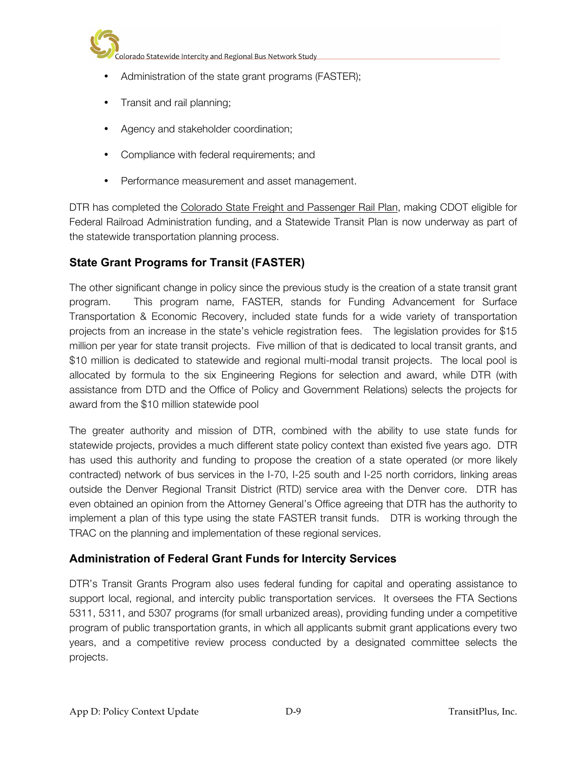

- Administration of the state grant programs (FASTER);
- Transit and rail planning;
- Agency and stakeholder coordination;
- Compliance with federal requirements; and
- Performance measurement and asset management.

DTR has completed the Colorado State Freight and Passenger Rail Plan, making CDOT eligible for Federal Railroad Administration funding, and a Statewide Transit Plan is now underway as part of the statewide transportation planning process.

## **State Grant Programs for Transit (FASTER)**

The other significant change in policy since the previous study is the creation of a state transit grant program. This program name, FASTER, stands for Funding Advancement for Surface Transportation & Economic Recovery, included state funds for a wide variety of transportation projects from an increase in the state's vehicle registration fees. The legislation provides for \$15 million per year for state transit projects. Five million of that is dedicated to local transit grants, and \$10 million is dedicated to statewide and regional multi-modal transit projects. The local pool is allocated by formula to the six Engineering Regions for selection and award, while DTR (with assistance from DTD and the Office of Policy and Government Relations) selects the projects for award from the \$10 million statewide pool

The greater authority and mission of DTR, combined with the ability to use state funds for statewide projects, provides a much different state policy context than existed five years ago. DTR has used this authority and funding to propose the creation of a state operated (or more likely contracted) network of bus services in the I-70, I-25 south and I-25 north corridors, linking areas outside the Denver Regional Transit District (RTD) service area with the Denver core. DTR has even obtained an opinion from the Attorney General's Office agreeing that DTR has the authority to implement a plan of this type using the state FASTER transit funds. DTR is working through the TRAC on the planning and implementation of these regional services.

### **Administration of Federal Grant Funds for Intercity Services**

DTR's Transit Grants Program also uses federal funding for capital and operating assistance to support local, regional, and intercity public transportation services. It oversees the FTA Sections 5311, 5311, and 5307 programs (for small urbanized areas), providing funding under a competitive program of public transportation grants, in which all applicants submit grant applications every two years, and a competitive review process conducted by a designated committee selects the projects.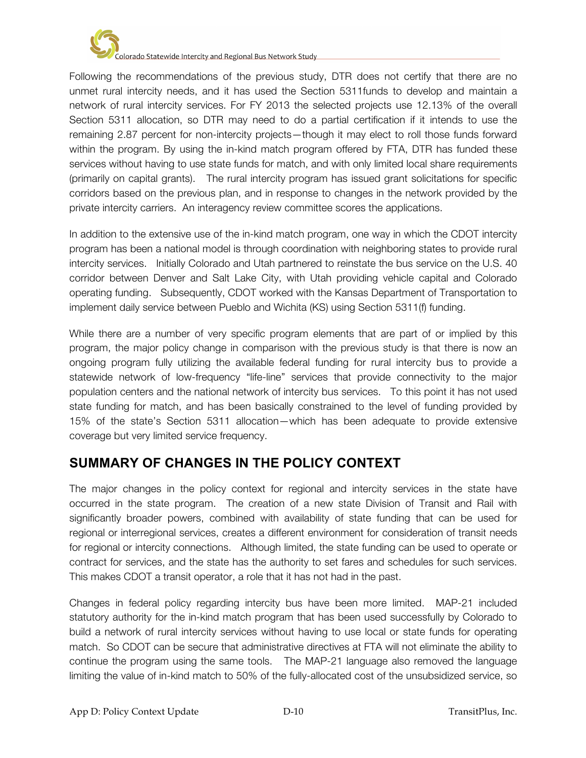

Following the recommendations of the previous study, DTR does not certify that there are no unmet rural intercity needs, and it has used the Section 5311funds to develop and maintain a network of rural intercity services. For FY 2013 the selected projects use 12.13% of the overall Section 5311 allocation, so DTR may need to do a partial certification if it intends to use the remaining 2.87 percent for non-intercity projects—though it may elect to roll those funds forward within the program. By using the in-kind match program offered by FTA, DTR has funded these services without having to use state funds for match, and with only limited local share requirements (primarily on capital grants). The rural intercity program has issued grant solicitations for specific corridors based on the previous plan, and in response to changes in the network provided by the private intercity carriers. An interagency review committee scores the applications.

In addition to the extensive use of the in-kind match program, one way in which the CDOT intercity program has been a national model is through coordination with neighboring states to provide rural intercity services. Initially Colorado and Utah partnered to reinstate the bus service on the U.S. 40 corridor between Denver and Salt Lake City, with Utah providing vehicle capital and Colorado operating funding. Subsequently, CDOT worked with the Kansas Department of Transportation to implement daily service between Pueblo and Wichita (KS) using Section 5311(f) funding.

While there are a number of very specific program elements that are part of or implied by this program, the major policy change in comparison with the previous study is that there is now an ongoing program fully utilizing the available federal funding for rural intercity bus to provide a statewide network of low-frequency "life-line" services that provide connectivity to the major population centers and the national network of intercity bus services. To this point it has not used state funding for match, and has been basically constrained to the level of funding provided by 15% of the state's Section 5311 allocation—which has been adequate to provide extensive coverage but very limited service frequency.

# **SUMMARY OF CHANGES IN THE POLICY CONTEXT**

The major changes in the policy context for regional and intercity services in the state have occurred in the state program. The creation of a new state Division of Transit and Rail with significantly broader powers, combined with availability of state funding that can be used for regional or interregional services, creates a different environment for consideration of transit needs for regional or intercity connections. Although limited, the state funding can be used to operate or contract for services, and the state has the authority to set fares and schedules for such services. This makes CDOT a transit operator, a role that it has not had in the past.

Changes in federal policy regarding intercity bus have been more limited. MAP-21 included statutory authority for the in-kind match program that has been used successfully by Colorado to build a network of rural intercity services without having to use local or state funds for operating match. So CDOT can be secure that administrative directives at FTA will not eliminate the ability to continue the program using the same tools. The MAP-21 language also removed the language limiting the value of in-kind match to 50% of the fully-allocated cost of the unsubsidized service, so